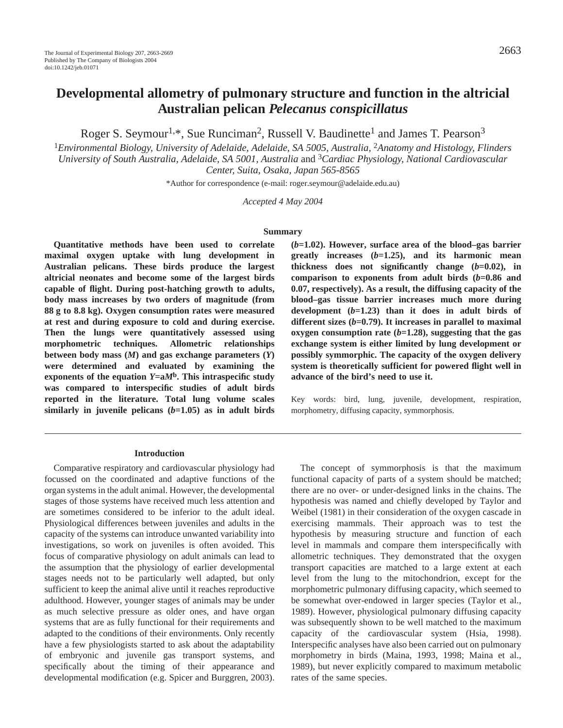# **Developmental allometry of pulmonary structure and function in the altricial Australian pelican** *Pelecanus conspicillatus*

Roger S. Seymour<sup>1,\*</sup>, Sue Runciman<sup>2</sup>, Russell V. Baudinette<sup>1</sup> and James T. Pearson<sup>3</sup>

<sup>1</sup>*Environmental Biology, University of Adelaide, Adelaide, SA 5005, Australia,* <sup>2</sup>*Anatomy and Histology, Flinders University of South Australia, Adelaide, SA 5001, Australia* and 3*Cardiac Physiology, National Cardiovascular Center, Suita, Osaka, Japan 565-8565*

\*Author for correspondence (e-mail: roger.seymour@adelaide.edu.au)

*Accepted 4 May 2004*

#### **Summary**

**Quantitative methods have been used to correlate maximal oxygen uptake with lung development in Australian pelicans. These birds produce the largest altricial neonates and become some of the largest birds capable of flight. During post-hatching growth to adults, body mass increases by two orders of magnitude (from 88·g to 8.8·kg). Oxygen consumption rates were measured at rest and during exposure to cold and during exercise. Then the lungs were quantitatively assessed using morphometric techniques. Allometric relationships between body mass (***M***) and gas exchange parameters (***Y***) were determined and evaluated by examining the exponents of the equation** *Y***=a***M***b. This intraspecific study was compared to interspecific studies of adult birds reported in the literature. Total lung volume scales similarly in juvenile pelicans (***b***=1.05) as in adult birds**

### **Introduction**

Comparative respiratory and cardiovascular physiology had focussed on the coordinated and adaptive functions of the organ systems in the adult animal. However, the developmental stages of those systems have received much less attention and are sometimes considered to be inferior to the adult ideal. Physiological differences between juveniles and adults in the capacity of the systems can introduce unwanted variability into investigations, so work on juveniles is often avoided. This focus of comparative physiology on adult animals can lead to the assumption that the physiology of earlier developmental stages needs not to be particularly well adapted, but only sufficient to keep the animal alive until it reaches reproductive adulthood. However, younger stages of animals may be under as much selective pressure as older ones, and have organ systems that are as fully functional for their requirements and adapted to the conditions of their environments. Only recently have a few physiologists started to ask about the adaptability of embryonic and juvenile gas transport systems, and specifically about the timing of their appearance and developmental modification (e.g. Spicer and Burggren, 2003). **(***b***=1.02). However, surface area of the blood–gas barrier greatly increases (***b***=1.25), and its harmonic mean** thickness does not significantly change  $(b=0.02)$ , in **comparison to exponents from adult birds (***b***=0.86 and 0.07, respectively). As a result, the diffusing capacity of the blood–gas tissue barrier increases much more during development (***b***=1.23) than it does in adult birds of** different sizes  $(b=0.79)$ . It increases in parallel to maximal **oxygen consumption rate (***b***=1.28), suggesting that the gas exchange system is either limited by lung development or possibly symmorphic. The capacity of the oxygen delivery system is theoretically sufficient for powered flight well in advance of the bird's need to use it.**

Key words: bird, lung, juvenile, development, respiration, morphometry, diffusing capacity, symmorphosis.

The concept of symmorphosis is that the maximum functional capacity of parts of a system should be matched; there are no over- or under-designed links in the chains. The hypothesis was named and chiefly developed by Taylor and Weibel (1981) in their consideration of the oxygen cascade in exercising mammals. Their approach was to test the hypothesis by measuring structure and function of each level in mammals and compare them interspecifically with allometric techniques. They demonstrated that the oxygen transport capacities are matched to a large extent at each level from the lung to the mitochondrion, except for the morphometric pulmonary diffusing capacity, which seemed to be somewhat over-endowed in larger species (Taylor et al., 1989). However, physiological pulmonary diffusing capacity was subsequently shown to be well matched to the maximum capacity of the cardiovascular system (Hsia, 1998). Interspecific analyses have also been carried out on pulmonary morphometry in birds (Maina, 1993, 1998; Maina et al., 1989), but never explicitly compared to maximum metabolic rates of the same species.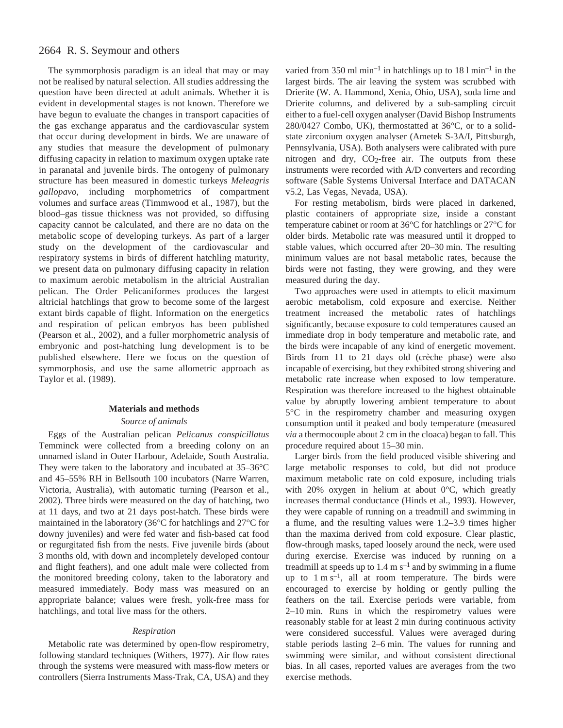# 2664 R. S. Seymour and others

The symmorphosis paradigm is an ideal that may or may not be realised by natural selection. All studies addressing the question have been directed at adult animals. Whether it is evident in developmental stages is not known. Therefore we have begun to evaluate the changes in transport capacities of the gas exchange apparatus and the cardiovascular system that occur during development in birds. We are unaware of any studies that measure the development of pulmonary diffusing capacity in relation to maximum oxygen uptake rate in paranatal and juvenile birds. The ontogeny of pulmonary structure has been measured in domestic turkeys *Meleagris gallopavo*, including morphometrics of compartment volumes and surface areas (Timmwood et al., 1987), but the blood–gas tissue thickness was not provided, so diffusing capacity cannot be calculated, and there are no data on the metabolic scope of developing turkeys. As part of a larger study on the development of the cardiovascular and respiratory systems in birds of different hatchling maturity, we present data on pulmonary diffusing capacity in relation to maximum aerobic metabolism in the altricial Australian pelican. The Order Pelicaniformes produces the largest altricial hatchlings that grow to become some of the largest extant birds capable of flight. Information on the energetics and respiration of pelican embryos has been published (Pearson et al., 2002), and a fuller morphometric analysis of embryonic and post-hatching lung development is to be published elsewhere. Here we focus on the question of symmorphosis, and use the same allometric approach as Taylor et al. (1989).

# **Materials and methods**

#### *Source of animals*

Eggs of the Australian pelican *Pelicanus conspicillatus* Temminck were collected from a breeding colony on an unnamed island in Outer Harbour, Adelaide, South Australia. They were taken to the laboratory and incubated at 35–36°C and 45–55% RH in Bellsouth 100 incubators (Narre Warren, Victoria, Australia), with automatic turning (Pearson et al., 2002). Three birds were measured on the day of hatching, two at 11 days, and two at 21 days post-hatch. These birds were maintained in the laboratory (36°C for hatchlings and 27°C for downy juveniles) and were fed water and fish-based cat food or regurgitated fish from the nests. Five juvenile birds (about 3 months old, with down and incompletely developed contour and flight feathers), and one adult male were collected from the monitored breeding colony, taken to the laboratory and measured immediately. Body mass was measured on an appropriate balance; values were fresh, yolk-free mass for hatchlings, and total live mass for the others.

#### *Respiration*

Metabolic rate was determined by open-flow respirometry, following standard techniques (Withers, 1977). Air flow rates through the systems were measured with mass-flow meters or controllers (Sierra Instruments Mass-Trak, CA, USA) and they varied from 350 ml min<sup>-1</sup> in hatchlings up to 18 l min<sup>-1</sup> in the largest birds. The air leaving the system was scrubbed with Drierite (W. A. Hammond, Xenia, Ohio, USA), soda lime and Drierite columns, and delivered by a sub-sampling circuit either to a fuel-cell oxygen analyser (David Bishop Instruments 280/0427 Combo, UK), thermostatted at 36°C, or to a solidstate zirconium oxygen analyser (Ametek S-3A/I, Pittsburgh, Pennsylvania, USA). Both analysers were calibrated with pure nitrogen and dry,  $CO<sub>2</sub>$ -free air. The outputs from these instruments were recorded with A/D converters and recording software (Sable Systems Universal Interface and DATACAN v5.2, Las Vegas, Nevada, USA).

For resting metabolism, birds were placed in darkened, plastic containers of appropriate size, inside a constant temperature cabinet or room at 36°C for hatchlings or 27°C for older birds. Metabolic rate was measured until it dropped to stable values, which occurred after 20–30 min. The resulting minimum values are not basal metabolic rates, because the birds were not fasting, they were growing, and they were measured during the day.

Two approaches were used in attempts to elicit maximum aerobic metabolism, cold exposure and exercise. Neither treatment increased the metabolic rates of hatchlings significantly, because exposure to cold temperatures caused an immediate drop in body temperature and metabolic rate, and the birds were incapable of any kind of energetic movement. Birds from 11 to 21 days old (crèche phase) were also incapable of exercising, but they exhibited strong shivering and metabolic rate increase when exposed to low temperature. Respiration was therefore increased to the highest obtainable value by abruptly lowering ambient temperature to about 5°C in the respirometry chamber and measuring oxygen consumption until it peaked and body temperature (measured *via* a thermocouple about 2 cm in the cloaca) began to fall. This procedure required about 15–30 min.

Larger birds from the field produced visible shivering and large metabolic responses to cold, but did not produce maximum metabolic rate on cold exposure, including trials with 20% oxygen in helium at about 0°C, which greatly increases thermal conductance (Hinds et al., 1993). However, they were capable of running on a treadmill and swimming in a flume, and the resulting values were 1.2–3.9 times higher than the maxima derived from cold exposure. Clear plastic, flow-through masks, taped loosely around the neck, were used during exercise. Exercise was induced by running on a treadmill at speeds up to  $1.4 \text{ m s}^{-1}$  and by swimming in a flume up to  $1 \text{ m s}^{-1}$ , all at room temperature. The birds were encouraged to exercise by holding or gently pulling the feathers on the tail. Exercise periods were variable, from  $2-10$  min. Runs in which the respirometry values were reasonably stable for at least 2 min during continuous activity were considered successful. Values were averaged during stable periods lasting 2–6 min. The values for running and swimming were similar, and without consistent directional bias. In all cases, reported values are averages from the two exercise methods.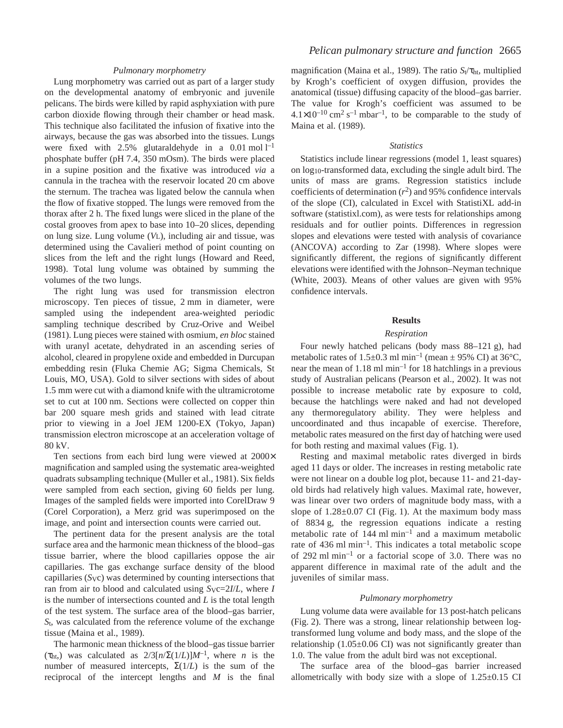## *Pulmonary morphometry*

Lung morphometry was carried out as part of a larger study on the developmental anatomy of embryonic and juvenile pelicans. The birds were killed by rapid asphyxiation with pure carbon dioxide flowing through their chamber or head mask. This technique also facilitated the infusion of fixative into the airways, because the gas was absorbed into the tissues. Lungs were fixed with  $2.5\%$  glutaraldehyde in a 0.01 mol  $l^{-1}$ phosphate buffer (pH 7.4, 350 mOsm). The birds were placed in a supine position and the fixative was introduced *via* a cannula in the trachea with the reservoir located 20 cm above the sternum. The trachea was ligated below the cannula when the flow of fixative stopped. The lungs were removed from the thorax after 2 h. The fixed lungs were sliced in the plane of the costal grooves from apex to base into 10–20 slices, depending on lung size. Lung volume (*V*L), including air and tissue, was determined using the Cavalieri method of point counting on slices from the left and the right lungs (Howard and Reed, 1998). Total lung volume was obtained by summing the volumes of the two lungs.

The right lung was used for transmission electron microscopy. Ten pieces of tissue, 2 mm in diameter, were sampled using the independent area-weighted periodic sampling technique described by Cruz-Orive and Weibel (1981). Lung pieces were stained with osmium, *en bloc* stained with uranyl acetate, dehydrated in an ascending series of alcohol, cleared in propylene oxide and embedded in Durcupan embedding resin (Fluka Chemie AG; Sigma Chemicals, St Louis, MO, USA). Gold to silver sections with sides of about 1.5 mm were cut with a diamond knife with the ultramicrotome set to cut at 100 nm. Sections were collected on copper thin bar 200 square mesh grids and stained with lead citrate prior to viewing in a Joel JEM 1200-EX (Tokyo, Japan) transmission electron microscope at an acceleration voltage of  $80 \,\mathrm{kV}$ .

Ten sections from each bird lung were viewed at 2000× magnification and sampled using the systematic area-weighted quadrats subsampling technique (Muller et al., 1981). Six fields were sampled from each section, giving 60 fields per lung. Images of the sampled fields were imported into CorelDraw 9 (Corel Corporation), a Merz grid was superimposed on the image, and point and intersection counts were carried out.

The pertinent data for the present analysis are the total surface area and the harmonic mean thickness of the blood–gas tissue barrier, where the blood capillaries oppose the air capillaries. The gas exchange surface density of the blood capillaries (*S*<sub>V</sub>c) was determined by counting intersections that ran from air to blood and calculated using  $S_Vc=2I/L$ , where *I* is the number of intersections counted and *L* is the total length of the test system. The surface area of the blood–gas barrier, *S*t, was calculated from the reference volume of the exchange tissue (Maina et al., 1989).

The harmonic mean thickness of the blood–gas tissue barrier ( $\tau_{\text{ht}}$ ) was calculated as  $2/3[n/\Sigma(1/L)]M^{-1}$ , where *n* is the number of measured intercepts,  $\Sigma(1/L)$  is the sum of the reciprocal of the intercept lengths and *M* is the final

magnification (Maina et al., 1989). The ratio *S*t/τht, multiplied by Krogh's coefficient of oxygen diffusion, provides the anatomical (tissue) diffusing capacity of the blood–gas barrier. The value for Krogh's coefficient was assumed to be  $4.1 \times 10^{-10}$  cm<sup>2</sup> s<sup>-1</sup> mbar<sup>-1</sup>, to be comparable to the study of Maina et al. (1989).

#### *Statistics*

Statistics include linear regressions (model 1, least squares) on log10-transformed data, excluding the single adult bird. The units of mass are grams. Regression statistics include coefficients of determination  $(r^2)$  and 95% confidence intervals of the slope (CI), calculated in Excel with StatistiXL add-in software (statistixl.com), as were tests for relationships among residuals and for outlier points. Differences in regression slopes and elevations were tested with analysis of covariance (ANCOVA) according to Zar (1998). Where slopes were significantly different, the regions of significantly different elevations were identified with the Johnson–Neyman technique (White, 2003). Means of other values are given with 95% confidence intervals.

#### **Results**

#### *Respiration*

Four newly hatched pelicans (body mass  $88-121$  g), had metabolic rates of 1.5 $\pm$ 0.3 ml min<sup>-1</sup> (mean  $\pm$  95% CI) at 36°C, near the mean of  $1.18 \text{ ml} \text{ min}^{-1}$  for 18 hatchlings in a previous study of Australian pelicans (Pearson et al., 2002). It was not possible to increase metabolic rate by exposure to cold, because the hatchlings were naked and had not developed any thermoregulatory ability. They were helpless and uncoordinated and thus incapable of exercise. Therefore, metabolic rates measured on the first day of hatching were used for both resting and maximal values (Fig. 1).

Resting and maximal metabolic rates diverged in birds aged 11 days or older. The increases in resting metabolic rate were not linear on a double log plot, because 11- and 21-dayold birds had relatively high values. Maximal rate, however, was linear over two orders of magnitude body mass, with a slope of  $1.28 \pm 0.07$  CI (Fig. 1). At the maximum body mass of 8834 g, the regression equations indicate a resting metabolic rate of  $144 \text{ ml min}^{-1}$  and a maximum metabolic rate of  $436$  ml min<sup>-1</sup>. This indicates a total metabolic scope of 292  $ml min^{-1}$  or a factorial scope of 3.0. There was no apparent difference in maximal rate of the adult and the juveniles of similar mass.

#### *Pulmonary morphometry*

Lung volume data were available for 13 post-hatch pelicans (Fig. 2). There was a strong, linear relationship between logtransformed lung volume and body mass, and the slope of the relationship  $(1.05\pm0.06 \text{ CI})$  was not significantly greater than 1.0. The value from the adult bird was not exceptional.

The surface area of the blood–gas barrier increased allometrically with body size with a slope of  $1.25 \pm 0.15$  CI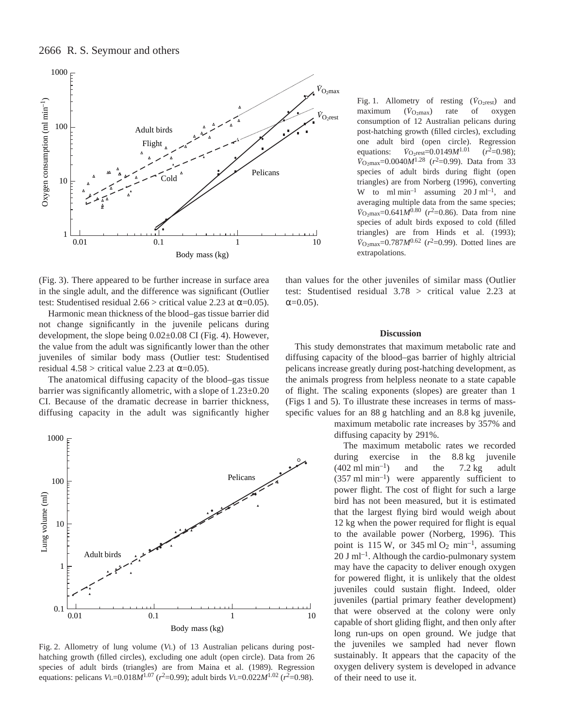



(Fig. 3). There appeared to be further increase in surface area in the single adult, and the difference was significant (Outlier test: Studentised residual  $2.66$  > critical value 2.23 at  $\alpha$ =0.05).

Harmonic mean thickness of the blood–gas tissue barrier did not change significantly in the juvenile pelicans during development, the slope being  $0.02 \pm 0.08$  CI (Fig. 4). However, the value from the adult was significantly lower than the other juveniles of similar body mass (Outlier test: Studentised residual  $4.58 >$  critical value 2.23 at  $\alpha = 0.05$ ).

The anatomical diffusing capacity of the blood–gas tissue barrier was significantly allometric, with a slope of 1.23±0.20 CI. Because of the dramatic decrease in barrier thickness, diffusing capacity in the adult was significantly higher



Fig. 2. Allometry of lung volume (*VL*) of 13 Australian pelicans during posthatching growth (filled circles), excluding one adult (open circle). Data from 26 species of adult birds (triangles) are from Maina et al. (1989). Regression equations: pelicans *V*L=0.018*M*<sup>1.07</sup> ( $r^2$ =0.99); adult birds *V*L=0.022*M*<sup>1.02</sup> ( $r^2$ =0.98).

Fig. 1. Allometry of resting ( $\dot{V}_{O_2 \text{rest}}$ ) and maximum ( $\dot{V}_{\text{O}_2\text{max}}$ ) rate of oxygen consumption of 12 Australian pelicans during post-hatching growth (filled circles), excluding one adult bird (open circle). Regression equations:  $\dot{V}_{O_2 \text{rest}} = 0.0149 \frac{M^{1.01}}{(\gamma^2 = 0.98)}$ ; *V*O∑max=0.0040*M*1.28 (*r*2=0.99). Data from 33 species of adult birds during flight (open triangles) are from Norberg (1996), converting W to ml min<sup>-1</sup> assuming  $20 \text{ J m}$ <sup>1-1</sup>, and averaging multiple data from the same species;  $V_{\text{O}_2 \text{max}} = 0.641 M^{0.80}$  ( $r^2 = 0.86$ ). Data from nine species of adult birds exposed to cold (filled triangles) are from Hinds et al. (1993);  $V_{\text{O}_2\text{max}}$ =0.787*M*<sup>0.62</sup> ( $r^2$ =0.99). Dotted lines are extrapolations.

than values for the other juveniles of similar mass (Outlier test: Studentised residual 3.78 > critical value 2.23 at  $α=0.05$ ).

# **Discussion**

This study demonstrates that maximum metabolic rate and diffusing capacity of the blood–gas barrier of highly altricial pelicans increase greatly during post-hatching development, as the animals progress from helpless neonate to a state capable of flight. The scaling exponents (slopes) are greater than 1 (Figs·1 and 5). To illustrate these increases in terms of massspecific values for an 88 g hatchling and an 8.8 kg juvenile,

maximum metabolic rate increases by 357% and diffusing capacity by 291%.

The maximum metabolic rates we recorded during exercise in the 8.8 kg juvenile  $(402 \text{ ml min}^{-1})$  and the 7.2 kg adult  $(357 \text{ ml min}^{-1})$  were apparently sufficient to power flight. The cost of flight for such a large bird has not been measured, but it is estimated that the largest flying bird would weigh about 12 kg when the power required for flight is equal to the available power (Norberg, 1996). This point is 115 W, or 345 ml  $O_2$  min<sup>-1</sup>, assuming  $20$  J ml<sup>-1</sup>. Although the cardio-pulmonary system may have the capacity to deliver enough oxygen for powered flight, it is unlikely that the oldest juveniles could sustain flight. Indeed, older juveniles (partial primary feather development) that were observed at the colony were only capable of short gliding flight, and then only after long run-ups on open ground. We judge that the juveniles we sampled had never flown sustainably. It appears that the capacity of the oxygen delivery system is developed in advance of their need to use it.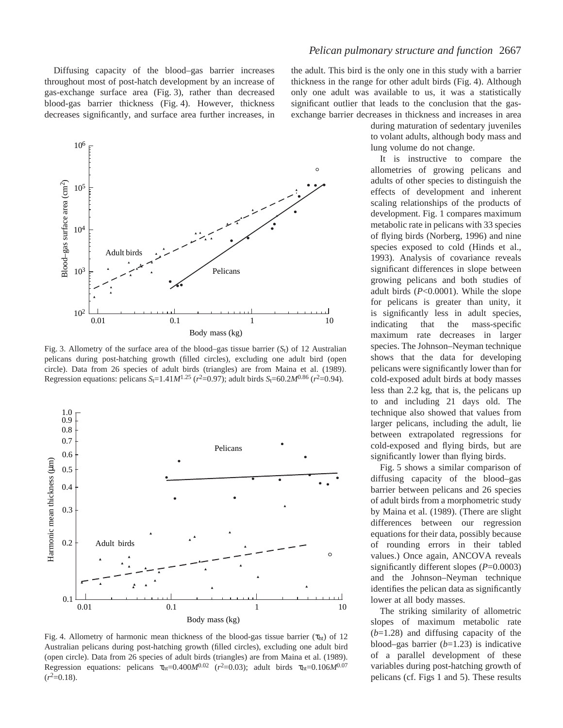Diffusing capacity of the blood–gas barrier increases throughout most of post-hatch development by an increase of gas-exchange surface area (Fig. 3), rather than decreased blood-gas barrier thickness (Fig. 4). However, thickness decreases significantly, and surface area further increases, in



Fig. 3. Allometry of the surface area of the blood–gas tissue barrier  $(S_t)$  of 12 Australian pelicans during post-hatching growth (filled circles), excluding one adult bird (open circle). Data from 26 species of adult birds (triangles) are from Maina et al. (1989). Regression equations: pelicans *S*<sub>t</sub>=1.41*M*<sup>1.25</sup> ( $r^2$ =0.97); adult birds *S*<sub>t</sub>=60.2*M*<sup>0.86</sup> ( $r^2$ =0.94).



Fig. 4. Allometry of harmonic mean thickness of the blood-gas tissue barrier ( $\tau_{\text{ht}}$ ) of 12 Australian pelicans during post-hatching growth (filled circles), excluding one adult bird (open circle). Data from 26 species of adult birds (triangles) are from Maina et al. (1989). Regression equations: pelicans  $\tau_{\text{ht}}$ =0.400*M*<sup>0.02</sup> ( $r^2$ =0.03); adult birds  $\tau_{\text{ht}}$ =0.106*M*<sup>0.07</sup>  $(r^2=0.18)$ .

the adult. This bird is the only one in this study with a barrier thickness in the range for other adult birds (Fig. 4). Although only one adult was available to us, it was a statistically significant outlier that leads to the conclusion that the gasexchange barrier decreases in thickness and increases in area

> during maturation of sedentary juveniles to volant adults, although body mass and lung volume do not change.

> It is instructive to compare the allometries of growing pelicans and adults of other species to distinguish the effects of development and inherent scaling relationships of the products of development. Fig. 1 compares maximum metabolic rate in pelicans with 33 species of flying birds (Norberg, 1996) and nine species exposed to cold (Hinds et al., 1993). Analysis of covariance reveals significant differences in slope between growing pelicans and both studies of adult birds (*P*<0.0001). While the slope for pelicans is greater than unity, it is significantly less in adult species, indicating that the mass-specific maximum rate decreases in larger species. The Johnson–Neyman technique shows that the data for developing pelicans were significantly lower than for cold-exposed adult birds at body masses less than  $2.2 \text{ kg}$ , that is, the pelicans up to and including 21 days old. The technique also showed that values from larger pelicans, including the adult, lie between extrapolated regressions for cold-exposed and flying birds, but are significantly lower than flying birds.

> Fig. 5 shows a similar comparison of diffusing capacity of the blood–gas barrier between pelicans and 26 species of adult birds from a morphometric study by Maina et al. (1989). (There are slight differences between our regression equations for their data, possibly because of rounding errors in their tabled values.) Once again, ANCOVA reveals significantly different slopes (*P*=0.0003) and the Johnson–Neyman technique identifies the pelican data as significantly lower at all body masses.

> The striking similarity of allometric slopes of maximum metabolic rate (*b*=1.28) and diffusing capacity of the blood–gas barrier (*b*=1.23) is indicative of a parallel development of these variables during post-hatching growth of pelicans (cf. Figs 1 and 5). These results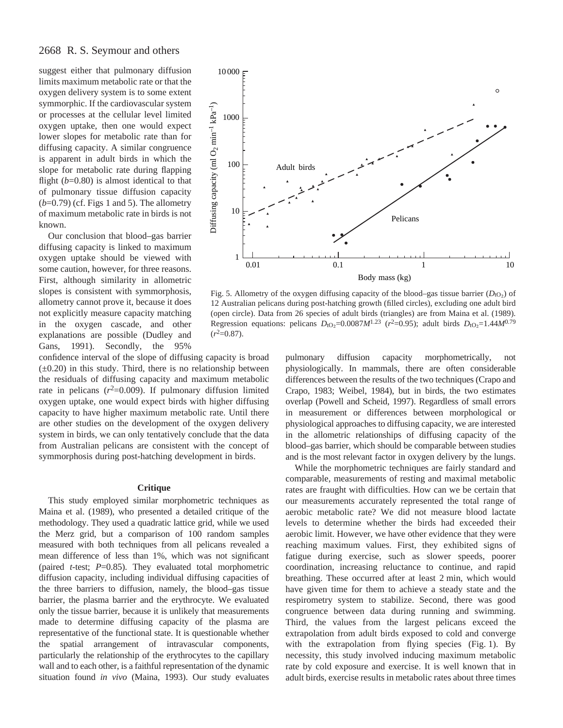# 2668 R. S. Seymour and others

suggest either that pulmonary diffusion limits maximum metabolic rate or that the oxygen delivery system is to some extent symmorphic. If the cardiovascular system or processes at the cellular level limited oxygen uptake, then one would expect lower slopes for metabolic rate than for diffusing capacity. A similar congruence is apparent in adult birds in which the slope for metabolic rate during flapping flight  $(b=0.80)$  is almost identical to that of pulmonary tissue diffusion capacity  $(b=0.79)$  (cf. Figs 1 and 5). The allometry of maximum metabolic rate in birds is not known.

Our conclusion that blood–gas barrier diffusing capacity is linked to maximum oxygen uptake should be viewed with some caution, however, for three reasons. First, although similarity in allometric slopes is consistent with symmorphosis, allometry cannot prove it, because it does not explicitly measure capacity matching in the oxygen cascade, and other explanations are possible (Dudley and Gans, 1991). Secondly, the 95%

confidence interval of the slope of diffusing capacity is broad  $(\pm 0.20)$  in this study. Third, there is no relationship between the residuals of diffusing capacity and maximum metabolic rate in pelicans  $(r^2=0.009)$ . If pulmonary diffusion limited oxygen uptake, one would expect birds with higher diffusing capacity to have higher maximum metabolic rate. Until there are other studies on the development of the oxygen delivery system in birds, we can only tentatively conclude that the data from Australian pelicans are consistent with the concept of symmorphosis during post-hatching development in birds.

# **Critique**

This study employed similar morphometric techniques as Maina et al. (1989), who presented a detailed critique of the methodology. They used a quadratic lattice grid, while we used the Merz grid, but a comparison of 100 random samples measured with both techniques from all pelicans revealed a mean difference of less than 1%, which was not significant (paired *t-*test; *P*=0.85). They evaluated total morphometric diffusion capacity, including individual diffusing capacities of the three barriers to diffusion, namely, the blood–gas tissue barrier, the plasma barrier and the erythrocyte. We evaluated only the tissue barrier, because it is unlikely that measurements made to determine diffusing capacity of the plasma are representative of the functional state. It is questionable whether the spatial arrangement of intravascular components, particularly the relationship of the erythrocytes to the capillary wall and to each other, is a faithful representation of the dynamic situation found *in vivo* (Maina, 1993). Our study evaluates



Fig. 5. Allometry of the oxygen diffusing capacity of the blood–gas tissue barrier ( $D_{tO<sub>2</sub>}$ ) of 12 Australian pelicans during post-hatching growth (filled circles), excluding one adult bird (open circle). Data from 26 species of adult birds (triangles) are from Maina et al. (1989). Regression equations: pelicans  $D_{tO_2}=0.0087M^{1.23}$  ( $r^2=0.95$ ); adult birds  $D_{tO_2}=1.44M^{0.79}$  $(r^2=0.87)$ .

pulmonary diffusion capacity morphometrically, not physiologically. In mammals, there are often considerable differences between the results of the two techniques (Crapo and Crapo, 1983; Weibel, 1984), but in birds, the two estimates overlap (Powell and Scheid, 1997). Regardless of small errors in measurement or differences between morphological or physiological approaches to diffusing capacity, we are interested in the allometric relationships of diffusing capacity of the blood–gas barrier, which should be comparable between studies and is the most relevant factor in oxygen delivery by the lungs.

While the morphometric techniques are fairly standard and comparable, measurements of resting and maximal metabolic rates are fraught with difficulties. How can we be certain that our measurements accurately represented the total range of aerobic metabolic rate? We did not measure blood lactate levels to determine whether the birds had exceeded their aerobic limit. However, we have other evidence that they were reaching maximum values. First, they exhibited signs of fatigue during exercise, such as slower speeds, poorer coordination, increasing reluctance to continue, and rapid breathing. These occurred after at least 2 min, which would have given time for them to achieve a steady state and the respirometry system to stabilize. Second, there was good congruence between data during running and swimming. Third, the values from the largest pelicans exceed the extrapolation from adult birds exposed to cold and converge with the extrapolation from flying species (Fig. 1). By necessity, this study involved inducing maximum metabolic rate by cold exposure and exercise. It is well known that in adult birds, exercise results in metabolic rates about three times